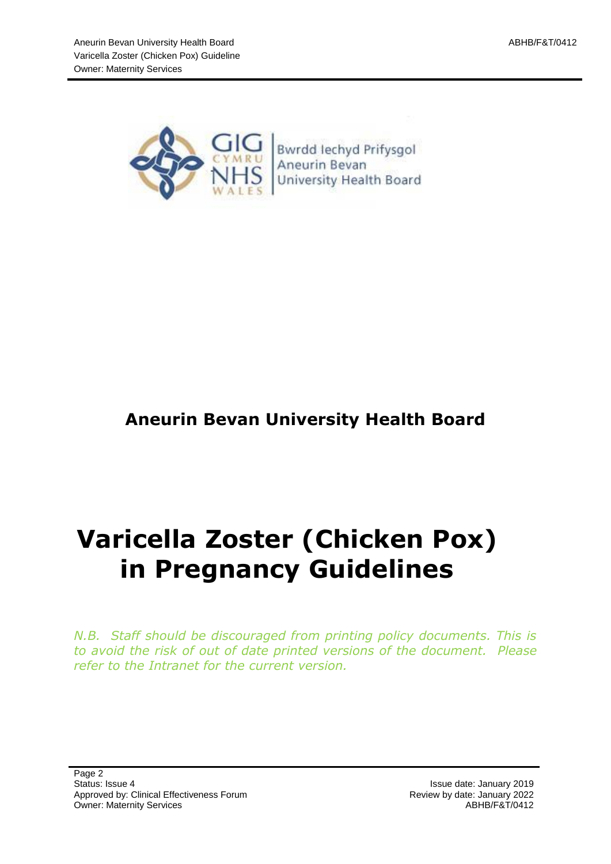

# **Aneurin Bevan University Health Board**

# **Varicella Zoster (Chicken Pox) in Pregnancy Guidelines**

*N.B. Staff should be discouraged from printing policy documents. This is to avoid the risk of out of date printed versions of the document. Please refer to the Intranet for the current version.*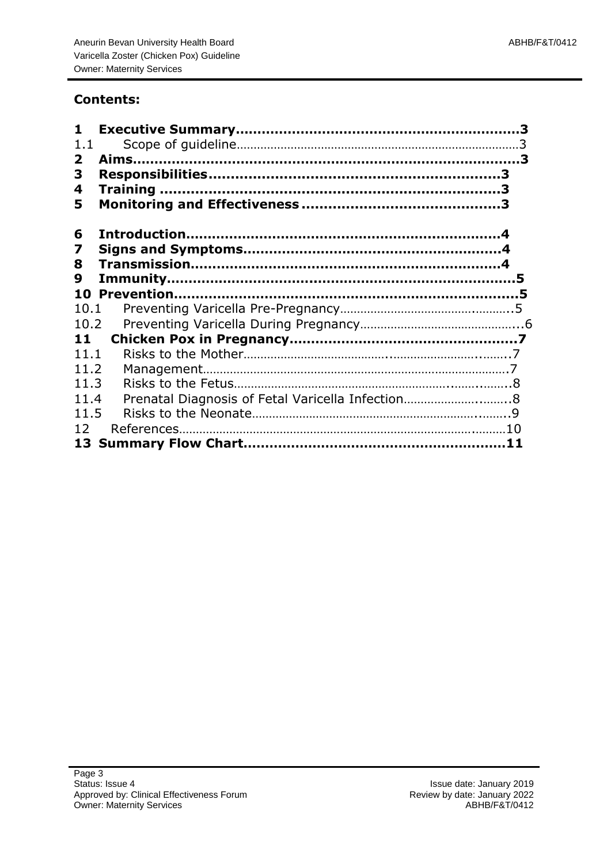# **Contents:**

| $\mathbf{1}$ |  |
|--------------|--|
| 1.1          |  |
| $\mathbf{2}$ |  |
| 3            |  |
| 4            |  |
| 5            |  |
| 6            |  |
| 7            |  |
| 8            |  |
| 9            |  |
| 1 N          |  |
| 10.1         |  |
| 10.2         |  |
| 11           |  |
| 11.1         |  |
| 11.2         |  |
| 11.3         |  |
| 11.4         |  |
| 11.5         |  |
| 12           |  |
|              |  |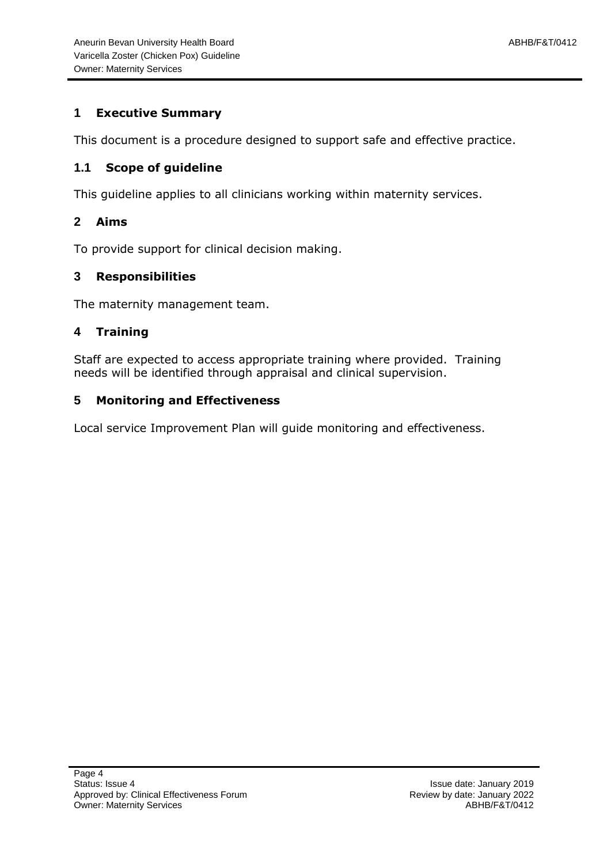# **1 Executive Summary**

This document is a procedure designed to support safe and effective practice.

# **1.1 Scope of guideline**

This guideline applies to all clinicians working within maternity services.

# **2 Aims**

To provide support for clinical decision making.

# **3 Responsibilities**

The maternity management team.

# **4 Training**

Staff are expected to access appropriate training where provided. Training needs will be identified through appraisal and clinical supervision.

# **5 Monitoring and Effectiveness**

Local service Improvement Plan will guide monitoring and effectiveness.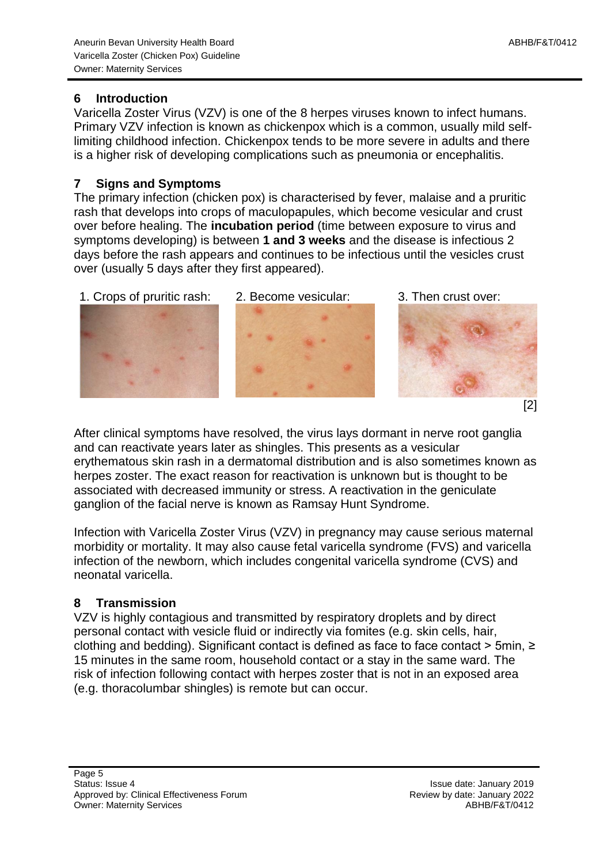#### **6 Introduction**

Varicella Zoster Virus (VZV) is one of the 8 herpes viruses known to infect humans. Primary VZV infection is known as chickenpox which is a common, usually mild selflimiting childhood infection. Chickenpox tends to be more severe in adults and there is a higher risk of developing complications such as pneumonia or encephalitis.

# **7 Signs and Symptoms**

The primary infection (chicken pox) is characterised by fever, malaise and a pruritic rash that develops into crops of maculopapules, which become vesicular and crust over before healing. The **incubation period** (time between exposure to virus and symptoms developing) is between **1 and 3 weeks** and the disease is infectious 2 days before the rash appears and continues to be infectious until the vesicles crust over (usually 5 days after they first appeared).



After clinical symptoms have resolved, the virus lays dormant in nerve root ganglia and can reactivate years later as shingles. This presents as a vesicular erythematous skin rash in a dermatomal distribution and is also sometimes known as herpes zoster. The exact reason for reactivation is unknown but is thought to be associated with decreased immunity or stress. A reactivation in the geniculate ganglion of the facial nerve is known as Ramsay Hunt Syndrome.

Infection with Varicella Zoster Virus (VZV) in pregnancy may cause serious maternal morbidity or mortality. It may also cause fetal varicella syndrome (FVS) and varicella infection of the newborn, which includes congenital varicella syndrome (CVS) and neonatal varicella.

# **8 Transmission**

VZV is highly contagious and transmitted by respiratory droplets and by direct personal contact with vesicle fluid or indirectly via fomites (e.g. skin cells, hair, clothing and bedding). Significant contact is defined as face to face contact > 5min, ≥ 15 minutes in the same room, household contact or a stay in the same ward. The risk of infection following contact with herpes zoster that is not in an exposed area (e.g. thoracolumbar shingles) is remote but can occur.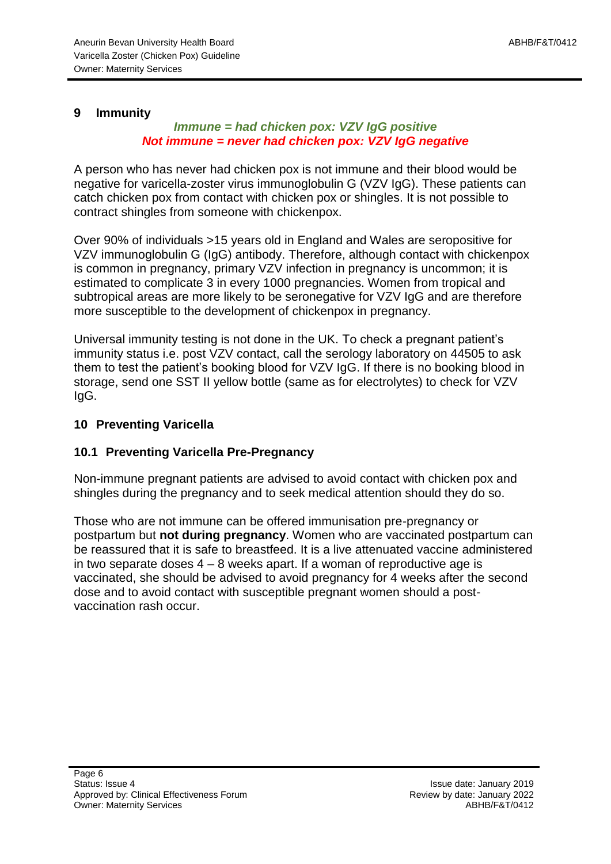#### **9 Immunity**

#### *Immune = had chicken pox: VZV IgG positive Not immune = never had chicken pox: VZV IgG negative*

A person who has never had chicken pox is not immune and their blood would be negative for varicella-zoster virus immunoglobulin G (VZV IgG). These patients can catch chicken pox from contact with chicken pox or shingles. It is not possible to contract shingles from someone with chickenpox.

Over 90% of individuals >15 years old in England and Wales are seropositive for VZV immunoglobulin G (IgG) antibody. Therefore, although contact with chickenpox is common in pregnancy, primary VZV infection in pregnancy is uncommon; it is estimated to complicate 3 in every 1000 pregnancies. Women from tropical and subtropical areas are more likely to be seronegative for VZV IgG and are therefore more susceptible to the development of chickenpox in pregnancy.

Universal immunity testing is not done in the UK. To check a pregnant patient's immunity status i.e. post VZV contact, call the serology laboratory on 44505 to ask them to test the patient's booking blood for VZV IgG. If there is no booking blood in storage, send one SST II yellow bottle (same as for electrolytes) to check for VZV IgG.

#### **10 Preventing Varicella**

#### **10.1 Preventing Varicella Pre-Pregnancy**

Non-immune pregnant patients are advised to avoid contact with chicken pox and shingles during the pregnancy and to seek medical attention should they do so.

Those who are not immune can be offered immunisation pre-pregnancy or postpartum but **not during pregnancy**. Women who are vaccinated postpartum can be reassured that it is safe to breastfeed. It is a live attenuated vaccine administered in two separate doses  $4 - 8$  weeks apart. If a woman of reproductive age is vaccinated, she should be advised to avoid pregnancy for 4 weeks after the second dose and to avoid contact with susceptible pregnant women should a postvaccination rash occur.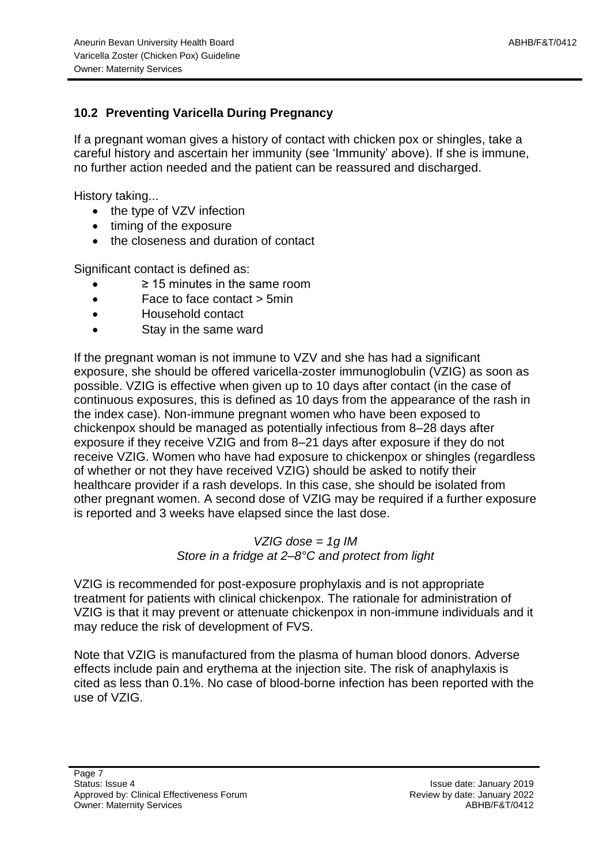# **10.2 Preventing Varicella During Pregnancy**

If a pregnant woman gives a history of contact with chicken pox or shingles, take a careful history and ascertain her immunity (see 'Immunity' above). If she is immune, no further action needed and the patient can be reassured and discharged.

History taking...

- the type of VZV infection
- timing of the exposure
- the closeness and duration of contact

Significant contact is defined as:

- ≥ 15 minutes in the same room
- Face to face contact > 5min
- Household contact
- Stay in the same ward

If the pregnant woman is not immune to VZV and she has had a significant exposure, she should be offered varicella-zoster immunoglobulin (VZIG) as soon as possible. VZIG is effective when given up to 10 days after contact (in the case of continuous exposures, this is defined as 10 days from the appearance of the rash in the index case). Non-immune pregnant women who have been exposed to chickenpox should be managed as potentially infectious from 8–28 days after exposure if they receive VZIG and from 8–21 days after exposure if they do not receive VZIG. Women who have had exposure to chickenpox or shingles (regardless of whether or not they have received VZIG) should be asked to notify their healthcare provider if a rash develops. In this case, she should be isolated from other pregnant women. A second dose of VZIG may be required if a further exposure is reported and 3 weeks have elapsed since the last dose.

#### *VZIG dose = 1g IM Store in a fridge at 2–8°C and protect from light*

VZIG is recommended for post-exposure prophylaxis and is not appropriate treatment for patients with clinical chickenpox. The rationale for administration of VZIG is that it may prevent or attenuate chickenpox in non-immune individuals and it may reduce the risk of development of FVS.

Note that VZIG is manufactured from the plasma of human blood donors. Adverse effects include pain and erythema at the injection site. The risk of anaphylaxis is cited as less than 0.1%. No case of blood-borne infection has been reported with the use of VZIG.

Page 7 Status: Issue 4 **Issue 4** Issue date: January 2019 Approved by: Clinical Effectiveness Forum and the state of the Review by date: January 2022 Owner: Maternity Services ABHB/F&T/0412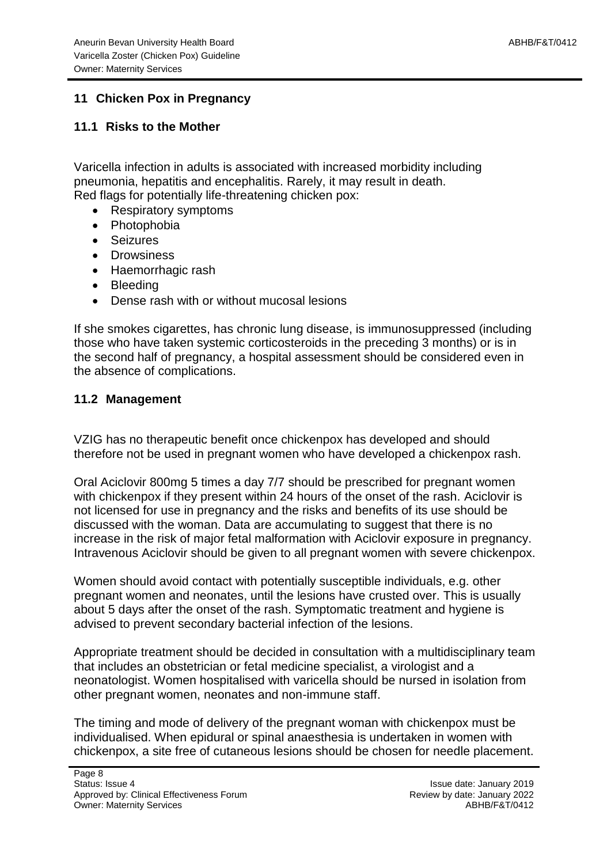# **11 Chicken Pox in Pregnancy**

#### **11.1 Risks to the Mother**

Varicella infection in adults is associated with increased morbidity including pneumonia, hepatitis and encephalitis. Rarely, it may result in death. Red flags for potentially life-threatening chicken pox:

- Respiratory symptoms
- Photophobia
- Seizures
- Drowsiness
- Haemorrhagic rash
- Bleeding
- Dense rash with or without mucosal lesions

If she smokes cigarettes, has chronic lung disease, is immunosuppressed (including those who have taken systemic corticosteroids in the preceding 3 months) or is in the second half of pregnancy, a hospital assessment should be considered even in the absence of complications.

#### **11.2 Management**

VZIG has no therapeutic benefit once chickenpox has developed and should therefore not be used in pregnant women who have developed a chickenpox rash.

Oral Aciclovir 800mg 5 times a day 7/7 should be prescribed for pregnant women with chickenpox if they present within 24 hours of the onset of the rash. Aciclovir is not licensed for use in pregnancy and the risks and benefits of its use should be discussed with the woman. Data are accumulating to suggest that there is no increase in the risk of major fetal malformation with Aciclovir exposure in pregnancy. Intravenous Aciclovir should be given to all pregnant women with severe chickenpox.

Women should avoid contact with potentially susceptible individuals, e.g. other pregnant women and neonates, until the lesions have crusted over. This is usually about 5 days after the onset of the rash. Symptomatic treatment and hygiene is advised to prevent secondary bacterial infection of the lesions.

Appropriate treatment should be decided in consultation with a multidisciplinary team that includes an obstetrician or fetal medicine specialist, a virologist and a neonatologist. Women hospitalised with varicella should be nursed in isolation from other pregnant women, neonates and non-immune staff.

The timing and mode of delivery of the pregnant woman with chickenpox must be individualised. When epidural or spinal anaesthesia is undertaken in women with chickenpox, a site free of cutaneous lesions should be chosen for needle placement.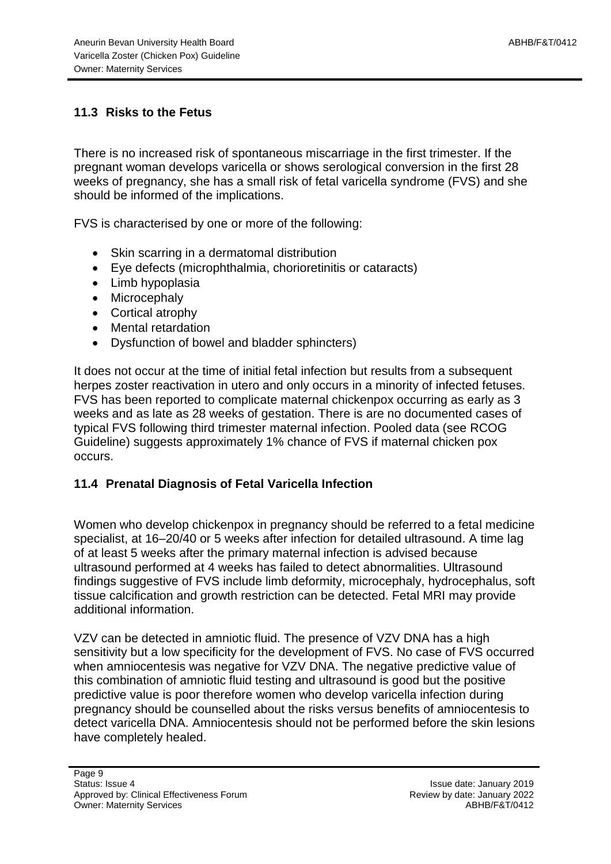# **11.3 Risks to the Fetus**

There is no increased risk of spontaneous miscarriage in the first trimester. If the pregnant woman develops varicella or shows serological conversion in the first 28 weeks of pregnancy, she has a small risk of fetal varicella syndrome (FVS) and she should be informed of the implications.

FVS is characterised by one or more of the following:

- Skin scarring in a dermatomal distribution
- Eye defects (microphthalmia, chorioretinitis or cataracts)
- Limb hypoplasia
- Microcephaly
- Cortical atrophy
- Mental retardation
- Dysfunction of bowel and bladder sphincters)

It does not occur at the time of initial fetal infection but results from a subsequent herpes zoster reactivation in utero and only occurs in a minority of infected fetuses. FVS has been reported to complicate maternal chickenpox occurring as early as 3 weeks and as late as 28 weeks of gestation. There is are no documented cases of typical FVS following third trimester maternal infection. Pooled data (see RCOG Guideline) suggests approximately 1% chance of FVS if maternal chicken pox occurs.

# **11.4 Prenatal Diagnosis of Fetal Varicella Infection**

Women who develop chickenpox in pregnancy should be referred to a fetal medicine specialist, at 16–20/40 or 5 weeks after infection for detailed ultrasound. A time lag of at least 5 weeks after the primary maternal infection is advised because ultrasound performed at 4 weeks has failed to detect abnormalities. Ultrasound findings suggestive of FVS include limb deformity, microcephaly, hydrocephalus, soft tissue calcification and growth restriction can be detected. Fetal MRI may provide additional information.

VZV can be detected in amniotic fluid. The presence of VZV DNA has a high sensitivity but a low specificity for the development of FVS. No case of FVS occurred when amniocentesis was negative for VZV DNA. The negative predictive value of this combination of amniotic fluid testing and ultrasound is good but the positive predictive value is poor therefore women who develop varicella infection during pregnancy should be counselled about the risks versus benefits of amniocentesis to detect varicella DNA. Amniocentesis should not be performed before the skin lesions have completely healed.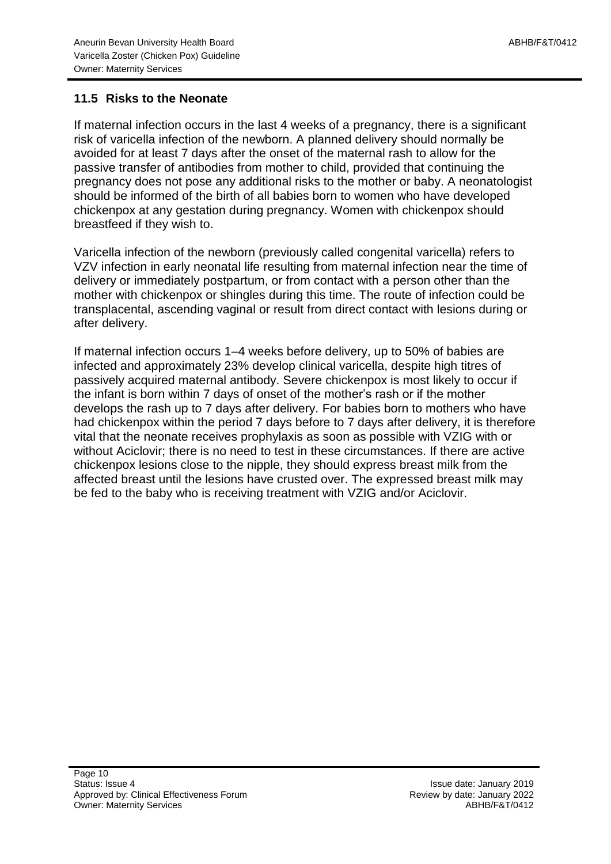# **11.5 Risks to the Neonate**

If maternal infection occurs in the last 4 weeks of a pregnancy, there is a significant risk of varicella infection of the newborn. A planned delivery should normally be avoided for at least 7 days after the onset of the maternal rash to allow for the passive transfer of antibodies from mother to child, provided that continuing the pregnancy does not pose any additional risks to the mother or baby. A neonatologist should be informed of the birth of all babies born to women who have developed chickenpox at any gestation during pregnancy. Women with chickenpox should breastfeed if they wish to.

Varicella infection of the newborn (previously called congenital varicella) refers to VZV infection in early neonatal life resulting from maternal infection near the time of delivery or immediately postpartum, or from contact with a person other than the mother with chickenpox or shingles during this time. The route of infection could be transplacental, ascending vaginal or result from direct contact with lesions during or after delivery.

If maternal infection occurs 1–4 weeks before delivery, up to 50% of babies are infected and approximately 23% develop clinical varicella, despite high titres of passively acquired maternal antibody. Severe chickenpox is most likely to occur if the infant is born within 7 days of onset of the mother's rash or if the mother develops the rash up to 7 days after delivery. For babies born to mothers who have had chickenpox within the period 7 days before to 7 days after delivery, it is therefore vital that the neonate receives prophylaxis as soon as possible with VZIG with or without Aciclovir; there is no need to test in these circumstances. If there are active chickenpox lesions close to the nipple, they should express breast milk from the affected breast until the lesions have crusted over. The expressed breast milk may be fed to the baby who is receiving treatment with VZIG and/or Aciclovir.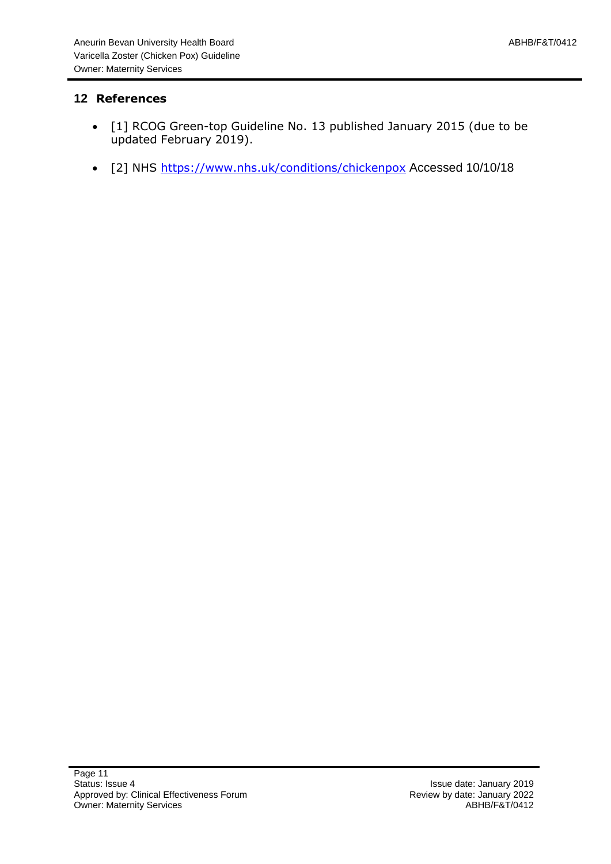### **12 References**

- [1] RCOG Green-top Guideline No. 13 published January 2015 (due to be updated February 2019).
- [2] NHS [https://www.nhs.uk/conditions/chickenpox](https://www.nhs.uk/conditions/chickenpox%20Accessed%2010/10/18) Accessed 10/10/18